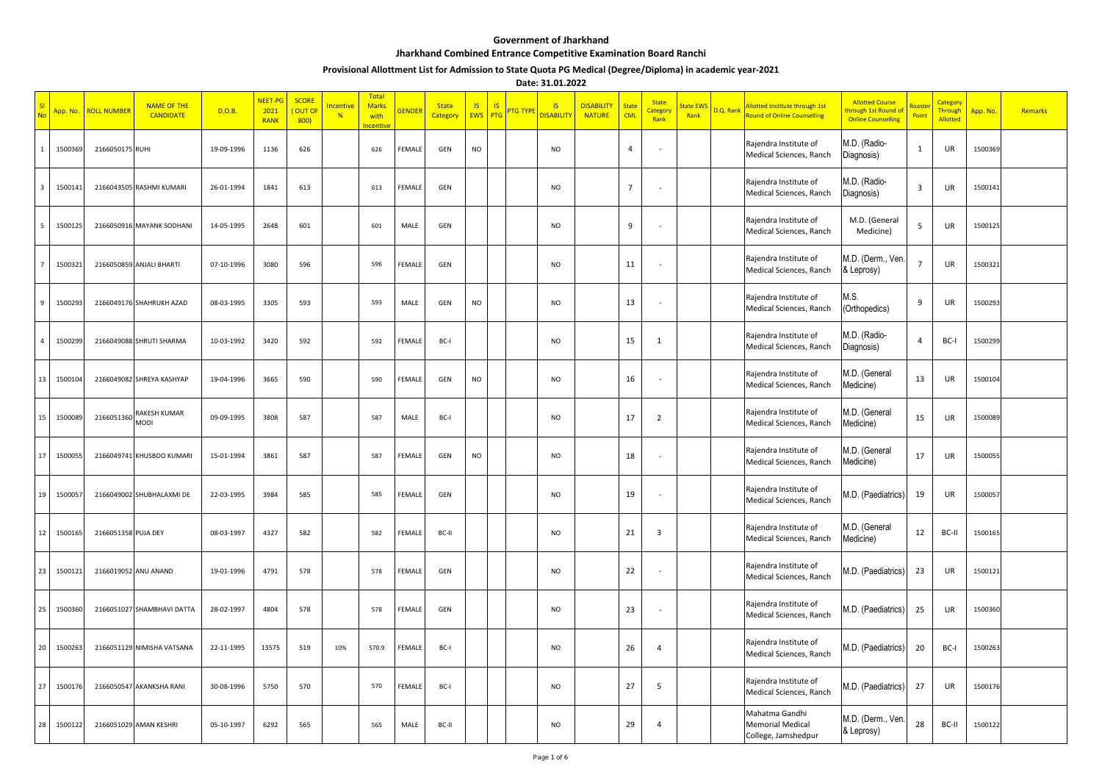## **Government of Jharkhand**

## **Jharkhand Combined Entrance Competitive Examination Board Ranchi**

## **Provisional Allottment List for Admission to State Quota PG Medical (Degree/Diploma) in academic year-2021**

**Date: 31.01.2022**

| <b>No</b> | App. No. | <b>ROLL NUMBER</b>  | <b>NAME OF THE</b><br><b>CANDIDATE</b> | D.O.B.     | NEET-PO<br>2021<br><b>RANK</b> | <b>SCORE</b><br>OUT OF<br>800 | <b>Incentive</b><br>% | <b>Total</b><br><b>Marks</b><br>with<br>ocentive | <b>GENDEF</b> | <b>State</b><br>Category | <b>IS</b><br><b>EWS</b> | IS.<br><b>PTG TYP</b><br>PTG | $\overline{\mathsf{S}}$<br><b>DISABILITY</b> | <b>DISABILITY</b><br><b>NATURE</b> | <b>State</b><br><b>CML</b> | <b>State</b><br><b>Categor</b><br>Rank | State EWS<br>Rank | D.Q. Rank | Allotted Institute through 1st<br><b>Round of Online Counselling</b> | <b>Allotted Course</b><br>hrough 1st Round of<br><b>Online Counselling</b> | Roast<br>Point | Categor <sup>®</sup><br><b>Through</b><br><b>Allotted</b> | App. No. | Remarks |
|-----------|----------|---------------------|----------------------------------------|------------|--------------------------------|-------------------------------|-----------------------|--------------------------------------------------|---------------|--------------------------|-------------------------|------------------------------|----------------------------------------------|------------------------------------|----------------------------|----------------------------------------|-------------------|-----------|----------------------------------------------------------------------|----------------------------------------------------------------------------|----------------|-----------------------------------------------------------|----------|---------|
|           | 150036   | 2166050175 RUHI     |                                        | 19-09-1996 | 1136                           | 626                           |                       | 626                                              | FEMALE        | GEN                      | NO                      |                              | <b>NO</b>                                    |                                    | $\overline{4}$             | $\sim$                                 |                   |           | Rajendra Institute of<br>Medical Sciences, Ranch                     | M.D. (Radio-<br>Diagnosis)                                                 | 1              | UR                                                        | 1500369  |         |
| -3        | 1500141  |                     | 2166043505 RASHMI KUMARI               | 26-01-1994 | 1841                           | 613                           |                       | 613                                              | FEMALI        | GEN                      |                         |                              | <b>NO</b>                                    |                                    | 7                          |                                        |                   |           | Rajendra Institute of<br>Medical Sciences, Ranch                     | M.D. (Radio-<br>Diagnosis)                                                 | 3              | UR                                                        | 1500141  |         |
|           | 150012   |                     | 2166050916 MAYANK SODHANI              | 14-05-1995 | 2648                           | 601                           |                       | 601                                              | MALE          | GEN                      |                         |                              | <b>NO</b>                                    |                                    | 9                          |                                        |                   |           | Rajendra Institute of<br>Medical Sciences, Ranch                     | M.D. (General<br>Medicine)                                                 | 5              | UR                                                        | 1500125  |         |
|           | 1500321  |                     | 2166050859 ANJALI BHARTI               | 07-10-1996 | 3080                           | 596                           |                       | 596                                              | FEMALE        | GEN                      |                         |                              | <b>NO</b>                                    |                                    | 11                         | $\sim$                                 |                   |           | Rajendra Institute of<br>Medical Sciences, Ranch                     | M.D. (Derm., Ven<br>& Leprosy)                                             | 7              | UR                                                        | 1500321  |         |
| 9         | 1500293  |                     | 2166049176 SHAHRUKH AZAD               | 08-03-1995 | 3305                           | 593                           |                       | 593                                              | MALE          | GEN                      | <b>NO</b>               |                              | <b>NO</b>                                    |                                    | 13                         | $\sim$                                 |                   |           | Rajendra Institute of<br>Medical Sciences, Ranch                     | M.S.<br>(Orthopedics)                                                      | 9              | UR                                                        | 1500293  |         |
| 4         | 1500299  |                     | 2166049088 SHRUTI SHARMA               | 10-03-1992 | 3420                           | 592                           |                       | 592                                              | FEMALI        | BC-I                     |                         |                              | <b>NO</b>                                    |                                    | 15                         | 1                                      |                   |           | Rajendra Institute of<br>Medical Sciences, Ranch                     | M.D. (Radio-<br>Diagnosis)                                                 | 4              | BC-I                                                      | 1500299  |         |
| 13        | 1500104  |                     | 2166049082 SHREYA KASHYAP              | 19-04-1996 | 3665                           | 590                           |                       | 590                                              | FEMALE        | GEN                      | <b>NO</b>               |                              | <b>NO</b>                                    |                                    | 16                         | $\overline{\phantom{a}}$               |                   |           | Rajendra Institute of<br>Medical Sciences, Ranch                     | M.D. (General<br>Medicine)                                                 | 13             | UR                                                        | 1500104  |         |
| 15        | 150008   | 2166051360          | RAKESH KUMAR<br>MODI                   | 09-09-1995 | 3808                           | 587                           |                       | 587                                              | MALE          | BC-I                     |                         |                              | <b>NO</b>                                    |                                    | 17                         | $\overline{2}$                         |                   |           | Rajendra Institute of<br>Medical Sciences, Ranch                     | M.D. (General<br>Medicine)                                                 | 15             | UR                                                        | 1500089  |         |
| 17        | 1500055  |                     | 2166049741 KHUSBOO KUMARI              | 15-01-1994 | 3861                           | 587                           |                       | 587                                              | FEMALE        | GEN                      | <b>NO</b>               |                              | <b>NO</b>                                    |                                    | 18                         | ÷,                                     |                   |           | Rajendra Institute of<br>Medical Sciences, Ranch                     | M.D. (General<br>Medicine)                                                 | 17             | UR                                                        | 1500055  |         |
| 19        | 150005   |                     | 2166049002 SHUBHALAXMI DE              | 22-03-1995 | 3984                           | 585                           |                       | 585                                              | FEMALI        | GEN                      |                         |                              | <b>NO</b>                                    |                                    | 19                         | ٠.                                     |                   |           | Rajendra Institute of<br>Medical Sciences, Ranch                     | M.D. (Paediatrics)                                                         | 19             | UR                                                        | 1500057  |         |
| 12        | 1500165  | 2166051358 PUJA DEY |                                        | 08-03-1997 | 4327                           | 582                           |                       | 582                                              | FEMALE        | BC-II                    |                         |                              | <b>NO</b>                                    |                                    | 21                         | $\overline{\mathbf{3}}$                |                   |           | Rajendra Institute of<br>Medical Sciences, Ranch                     | M.D. (General<br>Medicine)                                                 | 12             | BC-II                                                     | 1500165  |         |
| 23        | 150012   |                     | 2166019052 ANU ANAND                   | 19-01-1996 | 4791                           | 578                           |                       | 578                                              | FEMALI        | GEN                      |                         |                              | <b>NO</b>                                    |                                    | 22                         |                                        |                   |           | Rajendra Institute of<br>Medical Sciences, Ranch                     | M.D. (Paediatrics)                                                         | 23             | UR                                                        | 1500121  |         |
| 25        | 150036   |                     | 2166051027 SHAMBHAVI DATTA             | 28-02-1997 | 4804                           | 578                           |                       | 578                                              | FEMALE        | GEN                      |                         |                              | <b>NO</b>                                    |                                    | 23                         | $\sim$                                 |                   |           | Rajendra Institute of<br>Medical Sciences, Ranch                     | M.D. (Paediatrics)                                                         | 25             | UR                                                        | 1500360  |         |
| 20        | 1500263  |                     | 2166051129 NIMISHA VATSANA             | 22-11-1995 | 13575                          | 519                           | 10%                   | 570.9                                            | FEMALE        | BC-I                     |                         |                              | <b>NO</b>                                    |                                    | 26                         | $\overline{4}$                         |                   |           | Rajendra Institute of<br>Medical Sciences, Ranch                     | M.D. (Paediatrics)                                                         | 20             | BC-I                                                      | 1500263  |         |
| 27        | 150017   |                     | 2166050547 AKANKSHA RANI               | 30-08-1996 | 5750                           | 570                           |                       | 570                                              | FEMALI        | BC-I                     |                         |                              | <b>NO</b>                                    |                                    | 27                         | - 5                                    |                   |           | Rajendra Institute of<br>Medical Sciences, Ranch                     | M.D. (Paediatrics)                                                         | 27             | UR                                                        | 1500176  |         |
| 28        | 1500122  |                     | 2166051029 AMAN KESHRI                 | 05-10-1997 | 6292                           | 565                           |                       | 565                                              | MALE          | BC-II                    |                         |                              | <b>NO</b>                                    |                                    | 29                         | $\overline{4}$                         |                   |           | Mahatma Gandhi<br><b>Memorial Medical</b><br>College, Jamshedpur     | M.D. (Derm., Ven<br>& Leprosy)                                             | 28             | BC-II                                                     | 1500122  |         |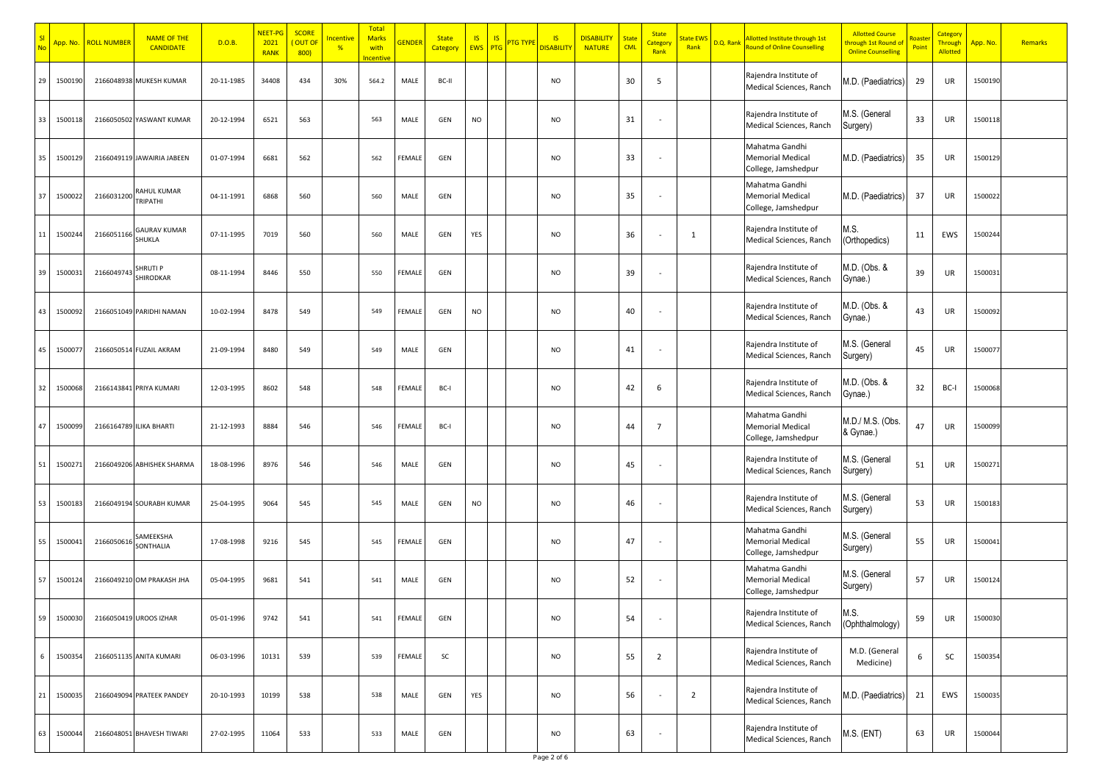|    | App. No. | <b>ROLL NUMBER</b> | <b>NAME OF THE</b><br><b>CANDIDATE</b> | D.O.B.     | NEET-PG<br>2021<br><b>RANK</b> | <b>SCORE</b><br>OUT OI<br>800) | <mark>ncentive</mark><br>$\frac{9}{6}$ | Total<br><b>Marks</b><br>with<br>ncentive | <b>GENDER</b> | <b>State</b><br>Category | <b>IS</b><br><b>EWS</b> | <b>IS</b><br>PTG | <mark>TG TYP</mark> | <b>IS</b><br><mark>disabili</mark> t | <b>DISABILITY</b><br><b>NATURE</b> | <b>State</b><br><b>CML</b> | <b>State</b><br><b>Category</b><br>Rank | tate EW<br>Rank | D.Q. Rank | <b>Illotted Institute through 1st</b><br><b>Round of Online Counselling</b> | <b>Allotted Course</b><br>hrough 1st Round of<br><b>Online Counselling</b> | nas<br>Poin | Category<br><b>Through</b><br><b>Allotted</b> | App. No. | Remarks |
|----|----------|--------------------|----------------------------------------|------------|--------------------------------|--------------------------------|----------------------------------------|-------------------------------------------|---------------|--------------------------|-------------------------|------------------|---------------------|--------------------------------------|------------------------------------|----------------------------|-----------------------------------------|-----------------|-----------|-----------------------------------------------------------------------------|----------------------------------------------------------------------------|-------------|-----------------------------------------------|----------|---------|
| 29 | 1500190  |                    | 2166048938 MUKESH KUMAR                | 20-11-1985 | 34408                          | 434                            | 30%                                    | 564.2                                     | MALE          | BC-II                    |                         |                  |                     | <b>NO</b>                            |                                    | 30                         | 5                                       |                 |           | Rajendra Institute of<br>Medical Sciences, Ranch                            | M.D. (Paediatrics)                                                         | 29          | UR                                            | 1500190  |         |
| 33 | 1500118  | 2166050502         | YASWANT KUMAR                          | 20-12-1994 | 6521                           | 563                            |                                        | 563                                       | MALE          | GEN                      | NO                      |                  |                     | <b>NO</b>                            |                                    | 31                         |                                         |                 |           | Rajendra Institute of<br>Medical Sciences, Ranch                            | M.S. (General<br>Surgery)                                                  | 33          | UR                                            | 1500118  |         |
| 35 | 1500129  |                    | 2166049119 JAWAIRIA JABEEN             | 01-07-1994 | 6681                           | 562                            |                                        | 562                                       | FEMALE        | GEN                      |                         |                  |                     | <b>NO</b>                            |                                    | 33                         |                                         |                 |           | Mahatma Gandhi<br><b>Memorial Medical</b><br>College, Jamshedpur            | M.D. (Paediatrics)                                                         | 35          | UR                                            | 1500129  |         |
| 37 | 150002   | 2166031200         | RAHUL KUMAR<br><b>TRIPATHI</b>         | 04-11-1991 | 6868                           | 560                            |                                        | 560                                       | MALE          | GEN                      |                         |                  |                     | <b>NO</b>                            |                                    | 35                         |                                         |                 |           | Mahatma Gandhi<br><b>Memorial Medical</b><br>College, Jamshedpur            | M.D. (Paediatrics)                                                         | 37          | UR                                            | 1500022  |         |
| 11 | 150024   | 2166051166         | <b>GAURAV KUMAR</b><br>SHUKLA          | 07-11-1995 | 7019                           | 560                            |                                        | 560                                       | MALE          | GEN                      | YES                     |                  |                     | <b>NO</b>                            |                                    | 36                         |                                         | $\mathbf{1}$    |           | Rajendra Institute of<br>Medical Sciences, Ranch                            | VI.S.<br>(Orthopedics)                                                     | 11          | EWS                                           | 1500244  |         |
| 39 | 150003   | 2166049743         | <b>SHRUTI P</b><br><b>SHIRODKAR</b>    | 08-11-1994 | 8446                           | 550                            |                                        | 550                                       | FEMALE        | GEN                      |                         |                  |                     | <b>NO</b>                            |                                    | 39                         |                                         |                 |           | Rajendra Institute of<br>Medical Sciences, Ranch                            | M.D. (Obs. &<br>Gynae.)                                                    | 39          | UR                                            | 1500031  |         |
| 43 | 150009   |                    | 2166051049 PARIDHI NAMAN               | 10-02-1994 | 8478                           | 549                            |                                        | 549                                       | FEMALE        | GEN                      | NO                      |                  |                     | <b>NO</b>                            |                                    | 40                         |                                         |                 |           | Rajendra Institute of<br>Medical Sciences, Ranch                            | M.D. (Obs. &<br>Gynae.)                                                    | 43          | UR                                            | 1500092  |         |
| 45 | 150007   |                    | 2166050514 FUZAIL AKRAM                | 21-09-1994 | 8480                           | 549                            |                                        | 549                                       | MALE          | GEN                      |                         |                  |                     | <b>NO</b>                            |                                    | 41                         |                                         |                 |           | Rajendra Institute of<br>Medical Sciences, Ranch                            | M.S. (General<br>Surgery)                                                  | 45          | UR                                            | 150007   |         |
| 32 | 150006   |                    | 2166143841 PRIYA KUMARI                | 12-03-1995 | 8602                           | 548                            |                                        | 548                                       | FEMALE        | BC-                      |                         |                  |                     | <b>NO</b>                            |                                    | 42                         | 6                                       |                 |           | Rajendra Institute of<br>Medical Sciences, Ranch                            | VI.D. (Obs. &<br>Gynae.)                                                   | 32          | BC-I                                          | 1500068  |         |
| 47 | 150009   |                    | 2166164789 ILIKA BHARTI                | 21-12-1993 | 8884                           | 546                            |                                        | 546                                       | FEMALE        | BC-                      |                         |                  |                     | <b>NO</b>                            |                                    | 44                         | $\overline{7}$                          |                 |           | Mahatma Gandhi<br><b>Memorial Medical</b><br>College, Jamshedpur            | M.D./ M.S. (Obs.<br>& Gynae.)                                              | 47          | UR                                            | 150009   |         |
| 51 | 150027   |                    | 2166049206 ABHISHEK SHARMA             | 18-08-1996 | 8976                           | 546                            |                                        | 546                                       | MALE          | GEN                      |                         |                  |                     | <b>NO</b>                            |                                    | 45                         |                                         |                 |           | Rajendra Institute of<br>Medical Sciences, Ranch                            | M.S. (General<br>Surgery)                                                  | 51          | UR                                            | 150027   |         |
| 53 | 150018   |                    | 2166049194 SOURABH KUMAR               | 25-04-1995 | 9064                           | 545                            |                                        | 545                                       | MALE          | GEN                      | NO                      |                  |                     | <b>NO</b>                            |                                    | 46                         |                                         |                 |           | Rajendra Institute of<br>Medical Sciences, Ranch                            | A.S. (General<br>Surgery)                                                  | 53          | UR                                            | 1500183  |         |
| 55 | 150004   | 216605061          | SAMEEKSHA<br>SONTHALIA                 | 17-08-1998 | 9216                           | 545                            |                                        | 545                                       | <b>EMALI</b>  | GEN                      |                         |                  |                     | <b>NO</b>                            |                                    | 47                         |                                         |                 |           | Mahatma Gandhi<br><b>Memorial Medical</b><br>College, Jamshedpur            | M.S. (General<br>Surgery)                                                  | 55          | UR                                            | 1500041  |         |
| 57 | 150012   |                    | 2166049210 OM PRAKASH JHA              | 05-04-1995 | 9681                           | 541                            |                                        | 541                                       | MALE          | GEN                      |                         |                  |                     | <b>NO</b>                            |                                    | 52                         |                                         |                 |           | Mahatma Gandhi<br><b>Memorial Medical</b><br>College, Jamshedpur            | M.S. (General<br>Surgery)                                                  | 57          | UR                                            | 1500124  |         |
| 59 | 1500030  |                    | 2166050419 UROOS IZHAR                 | 05-01-1996 | 9742                           | 541                            |                                        | 541                                       | FEMALE        | GEN                      |                         |                  |                     | <b>NO</b>                            |                                    | 54                         |                                         |                 |           | Rajendra Institute of<br>Medical Sciences, Ranch                            | M.S.<br>(Ophthalmology)                                                    | 59          | UR                                            | 1500030  |         |
| 6  | 1500354  |                    | 2166051135 ANITA KUMARI                | 06-03-1996 | 10131                          | 539                            |                                        | 539                                       | FEMALE        | <b>SC</b>                |                         |                  |                     | <b>NO</b>                            |                                    | 55                         | $\overline{2}$                          |                 |           | Rajendra Institute of<br>Medical Sciences, Ranch                            | M.D. (General<br>Medicine)                                                 | 6           | SC                                            | 1500354  |         |
| 21 | 150003   |                    | 2166049094 PRATEEK PANDEY              | 20-10-1993 | 10199                          | 538                            |                                        | 538                                       | MALE          | GEN                      | YES                     |                  |                     | <b>NO</b>                            |                                    | 56                         |                                         | $\overline{2}$  |           | Rajendra Institute of<br>Medical Sciences, Ranch                            | M.D. (Paediatrics)                                                         | 21          | EWS                                           | 1500035  |         |
| 63 | 1500044  |                    | 2166048051 BHAVESH TIWARI              | 27-02-1995 | 11064                          | 533                            |                                        | 533                                       | MALE          | GEN                      |                         |                  |                     | <b>NO</b>                            |                                    | 63                         |                                         |                 |           | Rajendra Institute of<br>Medical Sciences, Ranch                            | <b>M.S. (ENT)</b>                                                          | 63          | UR                                            | 1500044  |         |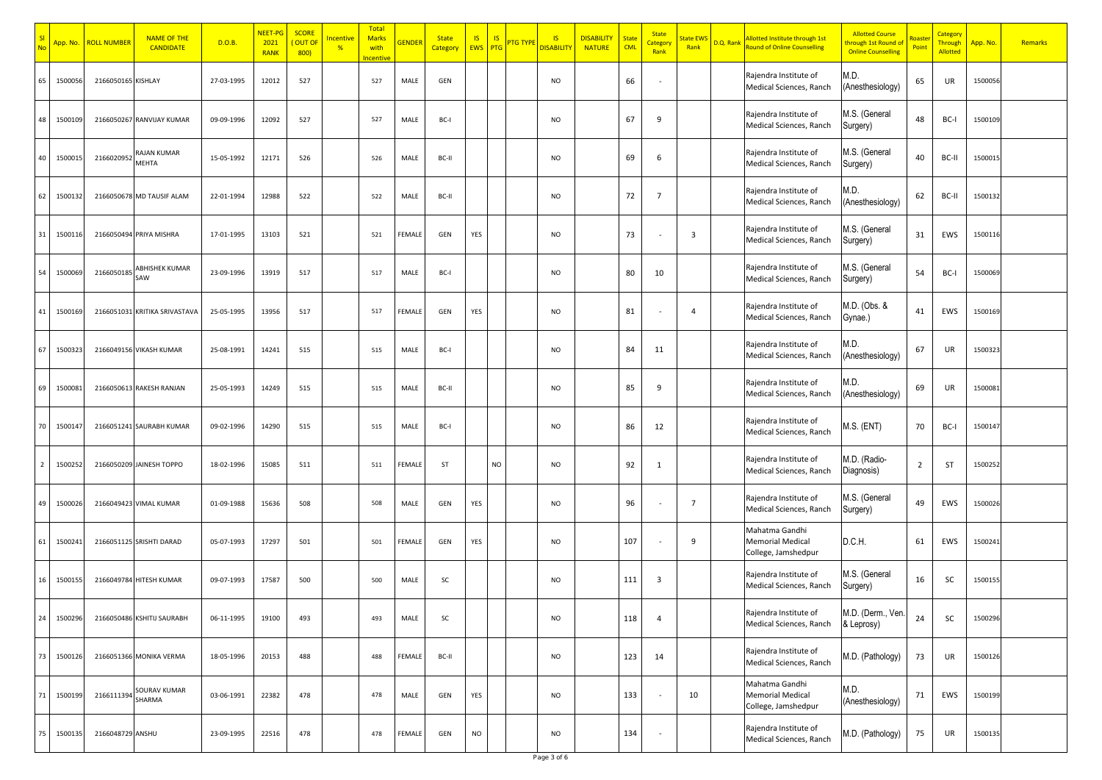|                | App. No. | <b>ROLL NUMBER</b> | <b>NAME OF THE</b><br><b>CANDIDATE</b> | D.O.B.     | NEET-PG<br>2021<br><b>RANK</b> | <b>SCORE</b><br>OUT O<br>800 | <mark>ncentive</mark><br>$\frac{9}{6}$ | <b>Total</b><br><b>Marks</b><br>with<br><b>Incentive</b> | <b>SENDER</b> | <b>State</b><br>Category | IS.<br><b>EWS</b> | IS<br><b>PTG</b> | <u>TG TYP</u> | $\overline{\mathsf{S}}$<br><b>DISABILIT</b> | <b>DISABILITY</b><br><b>NATURE</b> | <b>State</b><br><b>CML</b> | <b>State</b><br><u>Category</u><br>Rank | itate EW<br>Rank | D.Q. Rank | Allotted Institute through 1st<br>Round of Online Counselling    | <b>Allotted Course</b><br>hrough 1st Round of<br><b>Online Counselling</b> | Point | Category<br><mark>Through</mark><br><b>Allotted</b> | App. No. | Remarks |
|----------------|----------|--------------------|----------------------------------------|------------|--------------------------------|------------------------------|----------------------------------------|----------------------------------------------------------|---------------|--------------------------|-------------------|------------------|---------------|---------------------------------------------|------------------------------------|----------------------------|-----------------------------------------|------------------|-----------|------------------------------------------------------------------|----------------------------------------------------------------------------|-------|-----------------------------------------------------|----------|---------|
| 65             | 150005   | 2166050165 KISHLAY |                                        | 27-03-1995 | 12012                          | 527                          |                                        | 527                                                      | MALE          | GEN                      |                   |                  |               | <b>NO</b>                                   |                                    | 66                         |                                         |                  |           | Rajendra Institute of<br>Medical Sciences, Ranch                 | M.D.<br>Anesthesiology)                                                    | 65    | UR                                                  | 1500056  |         |
| 48             | 150010   | 2166050267         | RANVIJAY KUMAR                         | 09-09-1996 | 12092                          | 527                          |                                        | 527                                                      | MALE          | BC-I                     |                   |                  |               | <b>NO</b>                                   |                                    | 67                         | 9                                       |                  |           | Rajendra Institute of<br>Medical Sciences, Ranch                 | M.S. (General<br>Surgery)                                                  | 48    | BC-I                                                | 1500109  |         |
| 40             | 150001   | 2166020952         | AJAN KUMAR<br>MEHTA                    | 15-05-1992 | 12171                          | 526                          |                                        | 526                                                      | MALE          | BC-II                    |                   |                  |               | <b>NO</b>                                   |                                    | 69                         | 6                                       |                  |           | Rajendra Institute of<br>Medical Sciences, Ranch                 | M.S. (General<br>Surgery)                                                  | 40    | BC-II                                               | 1500015  |         |
| 62             | 150013.  |                    | 2166050678 MD TAUSIF ALAM              | 22-01-1994 | 12988                          | 522                          |                                        | 522                                                      | MALE          | BC-II                    |                   |                  |               | <b>NO</b>                                   |                                    | 72                         | 7                                       |                  |           | Rajendra Institute of<br>Medical Sciences, Ranch                 | M.D.<br>Anesthesiology)                                                    | 62    | BC-II                                               | 1500132  |         |
| 31             | 1500116  |                    | 2166050494 PRIYA MISHRA                | 17-01-1995 | 13103                          | 521                          |                                        | 521                                                      | FEMALE        | GEN                      | YES               |                  |               | <b>NO</b>                                   |                                    | 73                         |                                         | $\overline{3}$   |           | Rajendra Institute of<br>Medical Sciences, Ranch                 | M.S. (General<br>Surgery)                                                  | 31    | EWS                                                 | 1500116  |         |
| 54             | 150006   | 216605018          | <b>ABHISHEK KUMAR</b><br>SAW           | 23-09-1996 | 13919                          | 517                          |                                        | 517                                                      | MALE          | BC-I                     |                   |                  |               | <b>NO</b>                                   |                                    | 80                         | 10                                      |                  |           | Rajendra Institute of<br>Medical Sciences, Ranch                 | M.S. (General<br>Surgery)                                                  | 54    | BC-I                                                | 1500069  |         |
| 41             | 150016   |                    | 2166051031 KRITIKA SRIVASTAVA          | 25-05-1995 | 13956                          | 517                          |                                        | 517                                                      | FEMALE        | GEN                      | YES               |                  |               | <b>NO</b>                                   |                                    | 81                         |                                         | $\overline{4}$   |           | Rajendra Institute of<br>Medical Sciences, Ranch                 | M.D. (Obs. &<br>Gynae.)                                                    | 41    | EWS                                                 | 1500169  |         |
| 67             | 150032   |                    | 2166049156 VIKASH KUMAR                | 25-08-1991 | 14241                          | 515                          |                                        | 515                                                      | MALE          | BC-I                     |                   |                  |               | <b>NO</b>                                   |                                    | 84                         | 11                                      |                  |           | Rajendra Institute of<br>Medical Sciences, Ranch                 | M.D.<br>Anesthesiology)                                                    | 67    | UR                                                  | 1500323  |         |
| 69             | 150008   |                    | 2166050613 RAKESH RANJAN               | 25-05-1993 | 14249                          | 515                          |                                        | 515                                                      | MALE          | BC-II                    |                   |                  |               | <b>NO</b>                                   |                                    | 85                         | 9                                       |                  |           | Rajendra Institute of<br>Medical Sciences, Ranch                 | M.D.<br>Anesthesiology)                                                    | 69    | UR                                                  | 1500081  |         |
| 70             | 150014   |                    | 2166051241 SAURABH KUMAR               | 09-02-1996 | 14290                          | 515                          |                                        | 515                                                      | MALE          | BC-I                     |                   |                  |               | <b>NO</b>                                   |                                    | 86                         | 12                                      |                  |           | Rajendra Institute of<br>Medical Sciences, Ranch                 | M.S. (ENT)                                                                 | 70    | BC-I                                                | 1500147  |         |
| $\overline{2}$ | 1500252  |                    | 2166050209 JAINESH TOPPO               | 18-02-1996 | 15085                          | 511                          |                                        | 511                                                      | FEMALE        | ST                       |                   | NO               |               | <b>NO</b>                                   |                                    | 92                         | 1                                       |                  |           | Rajendra Institute of<br>Medical Sciences, Ranch                 | M.D. (Radio-<br>Diagnosis)                                                 | 2     | ST                                                  | 1500252  |         |
| 49             | 1500026  |                    | 2166049423 VIMAL KUMAR                 | 01-09-1988 | 15636                          | 508                          |                                        | 508                                                      | MALE          | GEN                      | YES               |                  |               | <b>NO</b>                                   |                                    | 96                         |                                         | 7                |           | Rajendra Institute of<br>Medical Sciences, Ranch                 | M.S. (General<br>Surgery)                                                  | 49    | EWS                                                 | 1500026  |         |
| 61             | 150024   |                    | 2166051125 SRISHTI DARAD               | 05-07-1993 | 17297                          | 501                          |                                        | 501                                                      | FEMALE        | GEN                      | YES               |                  |               | <b>NO</b>                                   |                                    | 107                        |                                         | 9                |           | Mahatma Gandhi<br><b>Memorial Medical</b><br>College, Jamshedpur | D.C.H.                                                                     | 61    | EWS                                                 | 1500241  |         |
| 16             | 1500155  |                    | 2166049784 HITESH KUMAR                | 09-07-1993 | 17587                          | 500                          |                                        | 500                                                      | MALE          | SC                       |                   |                  |               | <b>NO</b>                                   |                                    | 111                        | 3                                       |                  |           | Rajendra Institute of<br>Medical Sciences, Ranch                 | M.S. (General<br>Surgery)                                                  | 16    | SC                                                  | 1500155  |         |
| 24             | 1500296  |                    | 2166050486 KSHITIJ SAURABH             | 06-11-1995 | 19100                          | 493                          |                                        | 493                                                      | MALE          | SC                       |                   |                  |               | <b>NO</b>                                   |                                    | 118                        | 4                                       |                  |           | Rajendra Institute of<br>Medical Sciences, Ranch                 | M.D. (Derm., Ven.<br>& Leprosy)                                            | 24    | SC                                                  | 1500296  |         |
| 73             | 1500126  |                    | 2166051366 MONIKA VERMA                | 18-05-1996 | 20153                          | 488                          |                                        | 488                                                      | FEMALE        | BC-II                    |                   |                  |               | <b>NO</b>                                   |                                    | 123                        | 14                                      |                  |           | Rajendra Institute of<br>Medical Sciences, Ranch                 | M.D. (Pathology)                                                           | 73    | UR                                                  | 1500126  |         |
| 71             | 150019   | 2166111394         | <b>SOURAV KUMAR</b><br>SHARMA          | 03-06-1991 | 22382                          | 478                          |                                        | 478                                                      | MALE          | GEN                      | YES               |                  |               | <b>NO</b>                                   |                                    | 133                        |                                         | 10               |           | Mahatma Gandhi<br><b>Memorial Medical</b><br>College, Jamshedpur | M.D.<br>(Anesthesiology)                                                   | 71    | EWS                                                 | 1500199  |         |
| 75             | 1500135  | 2166048729 ANSHU   |                                        | 23-09-1995 | 22516                          | 478                          |                                        | 478                                                      | FEMALE        | GEN                      | NO                |                  |               | <b>NO</b>                                   |                                    | 134                        | $\overline{\phantom{a}}$                |                  |           | Rajendra Institute of<br>Medical Sciences, Ranch                 | M.D. (Pathology)                                                           | 75    | UR                                                  | 1500135  |         |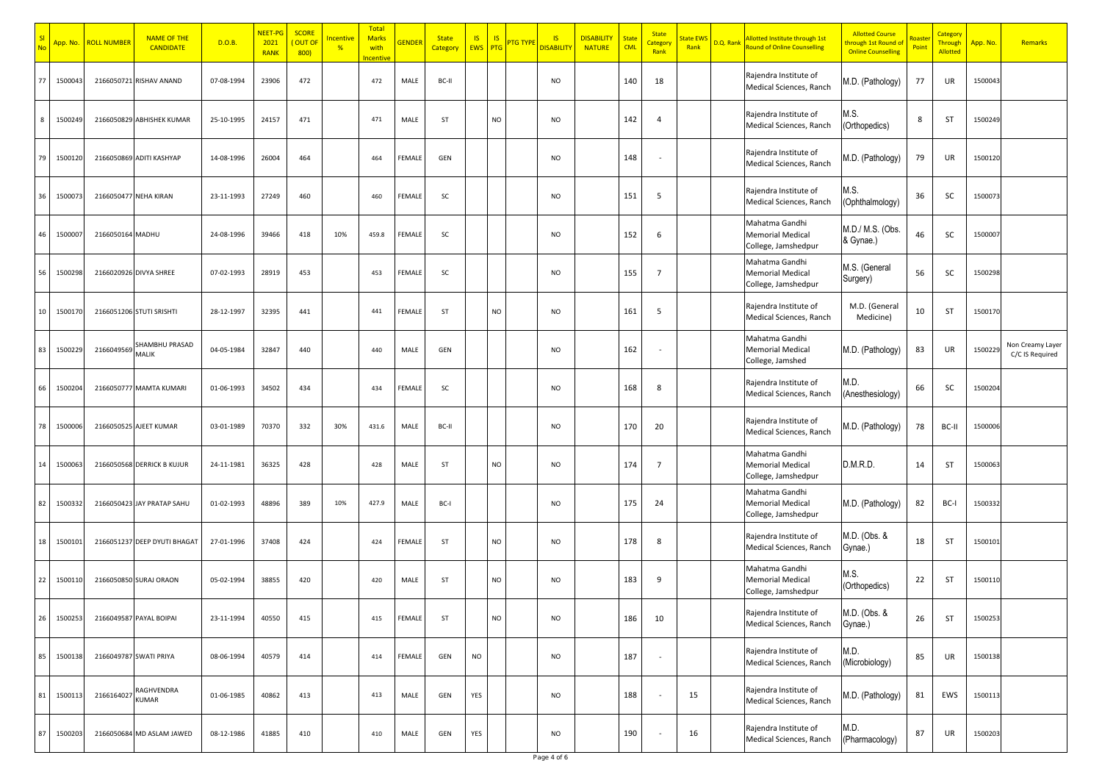|        | App. No. | <b>ROLL NUMBER</b>     | <b>NAME OF THE</b><br><b>CANDIDATE</b> | D.O.B.     | NEET-PG<br>2021<br><b>RANK</b> | <b>SCORE</b><br>OUT O<br>800 | <mark>ncentive</mark><br>% | <b>Total</b><br><b>Marks</b><br>with<br><b>Incentive</b> | <b>SENDER</b> | <b>State</b><br>Category | <b>IS</b><br><b>EWS</b> | <b>IS</b><br><b>PTG</b> | <b>TG TYP</b> | <b>IS</b><br><b>DISABILIT</b> | <b>DISABILITY</b><br><b>NATURE</b> | State<br><b>CML</b> | <b>State</b><br><u>Category</u><br>Rank | itate EV<br>Rank | D.Q. Rank | Allotted Institute through 1st<br>ound of Online Counselling     | <b>Allotted Course</b><br>hrough 1st Round of<br><b>Online Counselling</b> | Poin | Category<br><mark>Through</mark><br><b>Allotted</b> | App. No. | Remarks                             |
|--------|----------|------------------------|----------------------------------------|------------|--------------------------------|------------------------------|----------------------------|----------------------------------------------------------|---------------|--------------------------|-------------------------|-------------------------|---------------|-------------------------------|------------------------------------|---------------------|-----------------------------------------|------------------|-----------|------------------------------------------------------------------|----------------------------------------------------------------------------|------|-----------------------------------------------------|----------|-------------------------------------|
| 77     | 150004   |                        | 2166050721 RISHAV ANAND                | 07-08-1994 | 23906                          | 472                          |                            | 472                                                      | MALE          | BC-II                    |                         |                         |               | <b>NO</b>                     |                                    | 140                 | 18                                      |                  |           | Rajendra Institute of<br>Medical Sciences, Ranch                 | M.D. (Pathology)                                                           | 77   | UR                                                  | 1500043  |                                     |
| 8      | 150024   |                        | 2166050829 ABHISHEK KUMAR              | 25-10-1995 | 24157                          | 471                          |                            | 471                                                      | MALE          | ST                       |                         | NO                      |               | <b>NO</b>                     |                                    | 142                 | 4                                       |                  |           | Rajendra Institute of<br>Medical Sciences, Ranch                 | M.S.<br>Orthopedics)                                                       | 8    | ST                                                  | 1500249  |                                     |
| 79     | 150012   |                        | 2166050869 ADITI KASHYAP               | 14-08-1996 | 26004                          | 464                          |                            | 464                                                      | FEMALE        | GEN                      |                         |                         |               | <b>NO</b>                     |                                    | 148                 |                                         |                  |           | Rajendra Institute of<br>Medical Sciences, Ranch                 | M.D. (Pathology)                                                           | 79   | UR                                                  | 1500120  |                                     |
| 36     | 150007   | 2166050477 NEHA KIRAN  |                                        | 23-11-1993 | 27249                          | 460                          |                            | 460                                                      | FEMALE        | SC                       |                         |                         |               | <b>NO</b>                     |                                    | 151                 | 5                                       |                  |           | Rajendra Institute of<br>Medical Sciences, Ranch                 | M.S.<br>Ophthalmology)                                                     | 36   | SC                                                  | 150007   |                                     |
| 46     | 150000   | 2166050164 MADHU       |                                        | 24-08-1996 | 39466                          | 418                          | 10%                        | 459.8                                                    | FEMALE        | SC                       |                         |                         |               | <b>NO</b>                     |                                    | 152                 | 6                                       |                  |           | Mahatma Gandhi<br><b>Memorial Medical</b><br>College, Jamshedpur | M.D./ M.S. (Obs.<br>& Gynae.)                                              | 46   | SC                                                  | 1500007  |                                     |
| 56     | 150029   |                        | 2166020926 DIVYA SHREE                 | 07-02-1993 | 28919                          | 453                          |                            | 453                                                      | FEMALE        | SC                       |                         |                         |               | <b>NO</b>                     |                                    | 155                 | $\overline{7}$                          |                  |           | Mahatma Gandhi<br><b>Memorial Medical</b><br>College, Jamshedpur | M.S. (General<br>Surgery)                                                  | 56   | SC                                                  | 1500298  |                                     |
| 10     | 150017   |                        | 2166051206 STUTI SRISHTI               | 28-12-1997 | 32395                          | 441                          |                            | 441                                                      | FEMALE        | ST                       |                         | NO                      |               | <b>NO</b>                     |                                    | 161                 | 5                                       |                  |           | Rajendra Institute of<br>Medical Sciences, Ranch                 | M.D. (General<br>Medicine)                                                 | 10   | ST                                                  | 1500170  |                                     |
| 83     | 150022   | 2166049569             | <b>HAMBHU PRASAD</b><br>MALIK          | 04-05-1984 | 32847                          | 440                          |                            | 440                                                      | MALE          | GEN                      |                         |                         |               | <b>NO</b>                     |                                    | 162                 |                                         |                  |           | Mahatma Gandhi<br>Memorial Medical<br>College, Jamshed           | M.D. (Pathology)                                                           | 83   | UR                                                  | 150022   | Non Creamy Layer<br>C/C IS Required |
| 66     | 150020   |                        | 2166050777 MAMTA KUMAR                 | 01-06-1993 | 34502                          | 434                          |                            | 434                                                      | FEMALE        | SC                       |                         |                         |               | <b>NO</b>                     |                                    | 168                 | 8                                       |                  |           | Rajendra Institute of<br>Medical Sciences, Ranch                 | M.D.<br>Anesthesiology)                                                    | 66   | SC                                                  | 1500204  |                                     |
| 78     | 150000   |                        | 2166050525 AJEET KUMAR                 | 03-01-1989 | 70370                          | 332                          | 30%                        | 431.6                                                    | MALE          | BC-II                    |                         |                         |               | <b>NO</b>                     |                                    | 170                 | 20                                      |                  |           | Rajendra Institute of<br>Medical Sciences, Ranch                 | M.D. (Pathology)                                                           | 78   | BC-II                                               | 1500006  |                                     |
| $14\,$ | 150006   |                        | 2166050568 DERRICK B KUJUR             | 24-11-1981 | 36325                          | 428                          |                            | 428                                                      | MALE          | ST                       |                         | NO                      |               | <b>NO</b>                     |                                    | 174                 | $\overline{7}$                          |                  |           | Mahatma Gandhi<br><b>Memorial Medical</b><br>College, Jamshedpur | D.M.R.D.                                                                   | 14   | ST                                                  | 1500063  |                                     |
| 82     | 150033   |                        | 2166050423 JAY PRATAP SAHU             | 01-02-1993 | 48896                          | 389                          | 10%                        | 427.9                                                    | MALE          | BC-I                     |                         |                         |               | <b>NO</b>                     |                                    | 175                 | 24                                      |                  |           | Mahatma Gandhi<br><b>Memorial Medical</b><br>College, Jamshedpur | M.D. (Pathology)                                                           | 82   | BC-I                                                | 1500332  |                                     |
| 18     | 150010   |                        | 2166051237 DEEP DYUTI BHAGAT           | 27-01-1996 | 37408                          | 424                          |                            | 424                                                      | FEMALE        | ST                       |                         | NO                      |               | <b>NO</b>                     |                                    | 178                 | 8                                       |                  |           | Rajendra Institute of<br>Medical Sciences, Ranch                 | M.D. (Obs. &<br>Gynae.)                                                    | 18   | ST                                                  | 1500101  |                                     |
| 22     | 150011   |                        | 2166050850 SURAJ ORAON                 | 05-02-1994 | 38855                          | 420                          |                            | 420                                                      | MALE          | ST                       |                         | NO.                     |               | <b>NO</b>                     |                                    | 183                 | 9                                       |                  |           | Mahatma Gandhi<br><b>Memorial Medical</b><br>College, Jamshedpur | VI.S.<br>(Orthopedics)                                                     | 22   | ST                                                  | 1500110  |                                     |
| 26     | 1500253  |                        | 2166049587 PAYAL BOIPAI                | 23-11-1994 | 40550                          | 415                          |                            | 415                                                      | FEMALE        | ST                       |                         | NO                      |               | <b>NO</b>                     |                                    | 186                 | 10                                      |                  |           | Rajendra Institute of<br>Medical Sciences, Ranch                 | M.D. (Obs. &<br>Gynae.)                                                    | 26   | ST                                                  | 1500253  |                                     |
| 85     | 1500138  | 2166049787 SWATI PRIYA |                                        | 08-06-1994 | 40579                          | 414                          |                            | 414                                                      | FEMALE        | GEN                      | NO                      |                         |               | <b>NO</b>                     |                                    | 187                 | $\sim$                                  |                  |           | Rajendra Institute of<br>Medical Sciences, Ranch                 | M.D.<br>(Microbiology)                                                     | 85   | UR                                                  | 1500138  |                                     |
| 81     | 150011   | 2166164027             | RAGHVENDRA<br>KUMAR                    | 01-06-1985 | 40862                          | 413                          |                            | 413                                                      | MALE          | GEN                      | YES                     |                         |               | <b>NO</b>                     |                                    | 188                 |                                         | 15               |           | Rajendra Institute of<br>Medical Sciences, Ranch                 | M.D. (Pathology)                                                           | 81   | EWS                                                 | 1500113  |                                     |
| 87     | 1500203  |                        | 2166050684 MD ASLAM JAWED              | 08-12-1986 | 41885                          | 410                          |                            | 410                                                      | MALE          | GEN                      | YES                     |                         |               | <b>NO</b>                     |                                    | 190                 | $\overline{\phantom{a}}$                | 16               |           | Rajendra Institute of<br>Medical Sciences, Ranch                 | M.D.<br>(Pharmacology)                                                     | 87   | UR                                                  | 1500203  |                                     |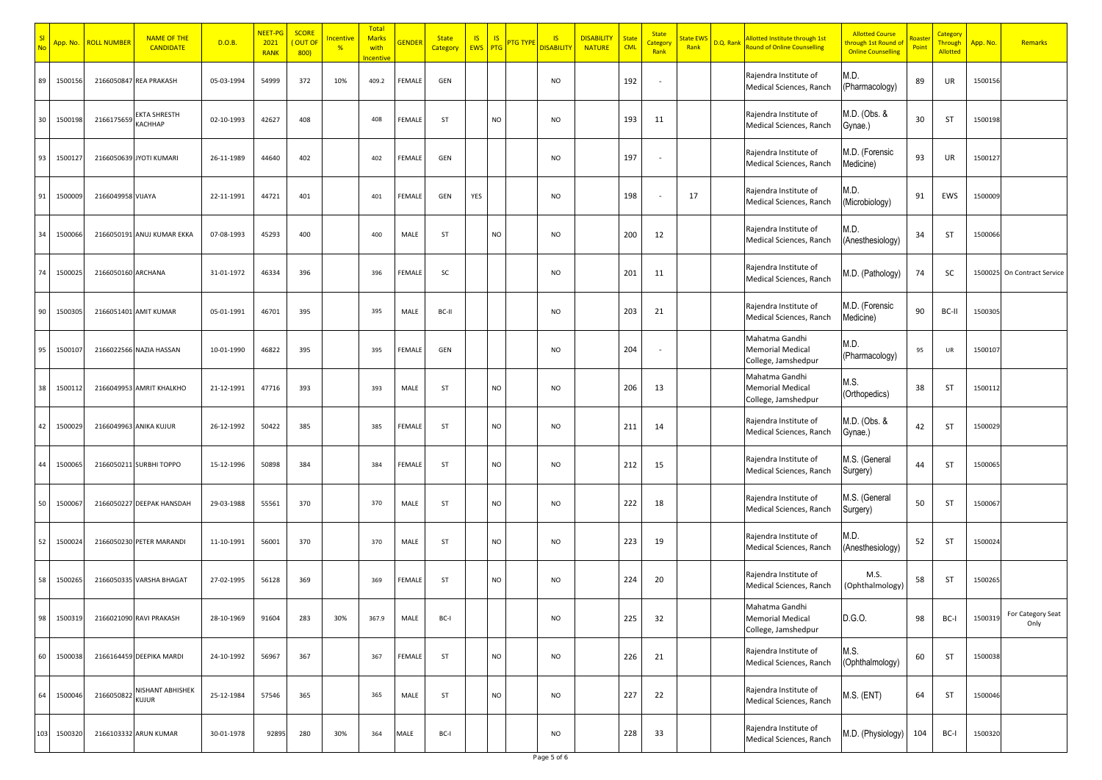|     | App. No. | <b>ROLL NUMBER</b> | <b>NAME OF THE</b><br><b>CANDIDATE</b> | D.O.B.     | NEET-PG<br>2021<br><b>RANK</b> | <b>SCORE</b><br>OUT O<br>800) | <b>ncentive</b><br>% | <b>Total</b><br><b>Marks</b><br>with<br>ncentiv | <b>GENDER</b> | <b>State</b><br>Category | <b>IS</b><br><b>IS</b><br><b>EWS</b><br><b>PTG</b> | <mark>'TG TYPI</mark> | $\overline{\mathsf{S}}$<br><b>DISABILIT</b> | <b>DISABILITY</b><br><b>NATURE</b> | <b>State</b><br><b>CML</b> | <b>State</b><br>Categor <sup>.</sup><br>Rank | <b>State EW</b><br>Rank | D.Q. Rank | Allotted Institute through 1st<br>Round of Online Counselling    | <b>Allotted Course</b><br>hrough 1st Round o<br><b>Online Counselling</b> | Point | Category<br><b>Through</b><br>Allotted | App. No. | Remarks                     |
|-----|----------|--------------------|----------------------------------------|------------|--------------------------------|-------------------------------|----------------------|-------------------------------------------------|---------------|--------------------------|----------------------------------------------------|-----------------------|---------------------------------------------|------------------------------------|----------------------------|----------------------------------------------|-------------------------|-----------|------------------------------------------------------------------|---------------------------------------------------------------------------|-------|----------------------------------------|----------|-----------------------------|
| 89  | 1500156  | 2166050847         | <b>REA PRAKASH</b>                     | 05-03-1994 | 54999                          | 372                           | 10%                  | 409.2                                           | FEMALE        | GEN                      |                                                    |                       | <b>NO</b>                                   |                                    | 192                        | $\overline{\phantom{a}}$                     |                         |           | Rajendra Institute of<br>Medical Sciences, Ranch                 | M.D.<br>(Pharmacology)                                                    | 89    | UR                                     | 1500156  |                             |
| 3U  | 1500198  | 2166175659         | EKTA SHRESTH<br><b>АСННАР</b>          | 02-10-1993 | 42627                          | 408                           |                      | 408                                             | FEMALE        | ST                       |                                                    | <b>NO</b>             | <b>NO</b>                                   |                                    | 193                        | 11                                           |                         |           | Rajendra Institute of<br>Medical Sciences, Ranch                 | M.D. (Obs. &<br>Gynae.)                                                   | 30    | <b>ST</b>                              | 1500198  |                             |
| 93  | 1500127  |                    | 2166050639 JYOTI KUMARI                | 26-11-1989 | 44640                          | 402                           |                      | 402                                             | FEMALE        | GEN                      |                                                    |                       | <b>NO</b>                                   |                                    | 197                        |                                              |                         |           | Rajendra Institute of<br>Medical Sciences, Ranch                 | M.D. (Forensic<br>Medicine)                                               | 93    | UR                                     | 1500127  |                             |
| 91  | 1500009  | 2166049958 VIJAYA  |                                        | 22-11-1991 | 44721                          | 401                           |                      | 401                                             | FEMALE        | GEN                      | YES                                                |                       | <b>NO</b>                                   |                                    | 198                        |                                              | 17                      |           | Rajendra Institute of<br>Medical Sciences, Ranch                 | M.D.<br>(Microbiology)                                                    | 91    | EWS                                    | 1500009  |                             |
| 34  | 1500066  |                    | 2166050191 ANUJ KUMAR EKKA             | 07-08-1993 | 45293                          | 400                           |                      | 400                                             | MALE          | ST                       | <b>NO</b>                                          |                       | <b>NO</b>                                   |                                    | 200                        | 12                                           |                         |           | Rajendra Institute of<br>Medical Sciences, Ranch                 | M.D.<br>(Anesthesiology)                                                  | 34    | <b>ST</b>                              | 1500066  |                             |
| 74  | 1500025  | 2166050160 ARCHANA |                                        | 31-01-1972 | 46334                          | 396                           |                      | 396                                             | FEMALE        | SC                       |                                                    |                       | <b>NO</b>                                   |                                    | 201                        | 11                                           |                         |           | Rajendra Institute of<br>Medical Sciences, Ranch                 | M.D. (Pathology)                                                          | 74    | SC                                     |          | 1500025 On Contract Service |
| 90  | 1500305  |                    | 2166051401 AMIT KUMAR                  | 05-01-1991 | 46701                          | 395                           |                      | 395                                             | MALE          | BC-II                    |                                                    |                       | <b>NO</b>                                   |                                    | 203                        | 21                                           |                         |           | Rajendra Institute of<br>Medical Sciences, Ranch                 | M.D. (Forensic<br>Medicine)                                               | 90    | BC-II                                  | 1500305  |                             |
| 95  | 150010   |                    | 2166022566 NAZIA HASSAN                | 10-01-1990 | 46822                          | 395                           |                      | 395                                             | FEMALE        | GEN                      |                                                    |                       | <b>NO</b>                                   |                                    | 204                        | $\overline{\phantom{a}}$                     |                         |           | Mahatma Gandhi<br><b>Memorial Medical</b><br>College, Jamshedpur | M.D.<br>(Pharmacology)                                                    | 95    | UR                                     | 1500107  |                             |
| 38  | 150011   |                    | 2166049953 AMRIT KHALKHO               | 21-12-1991 | 47716                          | 393                           |                      | 393                                             | MALE          | ST                       | NO                                                 |                       | <b>NO</b>                                   |                                    | 206                        | 13                                           |                         |           | Mahatma Gandhi<br><b>Memorial Medical</b><br>College, Jamshedpur | M.S.<br>(Orthopedics)                                                     | 38    | <b>ST</b>                              | 1500112  |                             |
| 42  | 1500029  |                    | 2166049963 ANIKA KUJUR                 | 26-12-1992 | 50422                          | 385                           |                      | 385                                             | FEMALE        | ST                       | NO                                                 |                       | <b>NO</b>                                   |                                    | 211                        | 14                                           |                         |           | Rajendra Institute of<br>Medical Sciences, Ranch                 | M.D. (Obs. &<br>Gynae.)                                                   | 42    | <b>ST</b>                              | 1500029  |                             |
|     | 1500065  |                    | 2166050211 SURBHI TOPPO                | 15-12-1996 | 50898                          | 384                           |                      | 384                                             | FEMALE        | ST                       |                                                    | <b>NO</b>             | <b>NO</b>                                   |                                    | 212                        | 15                                           |                         |           | Rajendra Institute of<br>Medical Sciences, Ranch                 | M.S. (General<br>Surgery)                                                 | 44    | <b>ST</b>                              | 1500065  |                             |
| 50  | 1500067  |                    | 2166050227 DEEPAK HANSDAH              | 29-03-1988 | 55561                          | 370                           |                      | 370                                             | MALE          | ST                       |                                                    | NO                    | <b>NO</b>                                   |                                    | 222                        | 18                                           |                         |           | Rajendra Institute of<br>Medical Sciences, Ranch                 | M.S. (General<br>Surgery)                                                 | 50    | <b>ST</b>                              | 1500067  |                             |
| 52  | 1500024  |                    | 2166050230 PETER MARANDI               | 11-10-1991 | 56001                          | 370                           |                      | 370                                             | MALE          | ST                       |                                                    | <b>NO</b>             | <b>NO</b>                                   |                                    | 223                        | 19                                           |                         |           | Rajendra Institute of<br>Medical Sciences, Ranch                 | M.D.<br>(Anesthesiology)                                                  | 52    | <b>ST</b>                              | 1500024  |                             |
| 58  | 1500265  |                    | 2166050335 VARSHA BHAGAT               | 27-02-1995 | 56128                          | 369                           |                      | 369                                             | FEMALE        | ST                       |                                                    | <b>NO</b>             | <b>NO</b>                                   |                                    | 224                        | 20                                           |                         |           | Rajendra Institute of<br>Medical Sciences, Ranch                 | M.S.<br>(Ophthalmology)                                                   | 58    | <b>ST</b>                              | 1500265  |                             |
| 98  | 1500319  |                    | 2166021090 RAVI PRAKASH                | 28-10-1969 | 91604                          | 283                           | 30%                  | 367.9                                           | MALE          | BC-I                     |                                                    |                       | NO                                          |                                    | 225                        | 32                                           |                         |           | Mahatma Gandhi<br><b>Memorial Medical</b><br>College, Jamshedpur | D.G.O.                                                                    | 98    | BC-I                                   | 1500319  | For Category Seat<br>Only   |
| 60  | 1500038  |                    | 2166164459 DEEPIKA MARDI               | 24-10-1992 | 56967                          | 367                           |                      | 367                                             | FEMALE        | ST                       |                                                    | NO                    | <b>NO</b>                                   |                                    | 226                        | 21                                           |                         |           | Rajendra Institute of<br>Medical Sciences, Ranch                 | M.S.<br>(Ophthalmology)                                                   | 60    | <b>ST</b>                              | 1500038  |                             |
| 64  | 1500046  | 2166050822         | NISHANT ABHISHEK<br>KUJUR              | 25-12-1984 | 57546                          | 365                           |                      | 365                                             | MALE          | ST                       |                                                    | NO                    | <b>NO</b>                                   |                                    | 227                        | 22                                           |                         |           | Rajendra Institute of<br>Medical Sciences, Ranch                 | $M.S.$ (ENT)                                                              | 64    | ST                                     | 1500046  |                             |
| 103 | 1500320  |                    | 2166103332 ARUN KUMAR                  | 30-01-1978 | 92895                          | 280                           | 30%                  | 364                                             | MALE          | BC-I                     |                                                    |                       | <b>NO</b>                                   |                                    | 228                        | 33                                           |                         |           | Rajendra Institute of<br>Medical Sciences, Ranch                 | M.D. (Physiology)                                                         | 104   | BC-I                                   | 1500320  |                             |